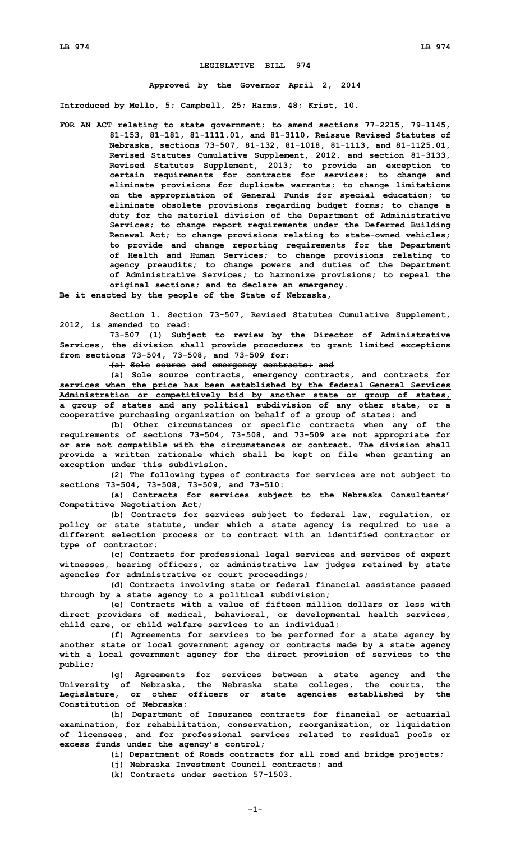## **LEGISLATIVE BILL 974**

## **Approved by the Governor April 2, 2014**

**Introduced by Mello, 5; Campbell, 25; Harms, 48; Krist, 10.**

- **FOR AN ACT relating to state government; to amend sections 77-2215, 79-1145, 81-153, 81-181, 81-1111.01, and 81-3110, Reissue Revised Statutes of Nebraska, sections 73-507, 81-132, 81-1018, 81-1113, and 81-1125.01, Revised Statutes Cumulative Supplement, 2012, and section 81-3133, Revised Statutes Supplement, 2013; to provide an exception to certain requirements for contracts for services; to change and eliminate provisions for duplicate warrants; to change limitations on the appropriation of General Funds for special education; to eliminate obsolete provisions regarding budget forms; to change <sup>a</sup> duty for the materiel division of the Department of Administrative Services; to change report requirements under the Deferred Building Renewal Act; to change provisions relating to state-owned vehicles; to provide and change reporting requirements for the Department of Health and Human Services; to change provisions relating to agency preaudits; to change powers and duties of the Department of Administrative Services; to harmonize provisions; to repeal the original sections; and to declare an emergency.**
- **Be it enacted by the people of the State of Nebraska,**

**Section 1. Section 73-507, Revised Statutes Cumulative Supplement, 2012, is amended to read:**

**73-507 (1) Subject to review by the Director of Administrative Services, the division shall provide procedures to grant limited exceptions from sections 73-504, 73-508, and 73-509 for:**

**(a) Sole source and emergency contracts; and**

**(a) Sole source contracts, emergency contracts, and contracts for services when the price has been established by the federal General Services Administration or competitively bid by another state or group of states, <sup>a</sup> group of states and any political subdivision of any other state, or <sup>a</sup> cooperative purchasing organization on behalf of <sup>a</sup> group of states; and**

**(b) Other circumstances or specific contracts when any of the requirements of sections 73-504, 73-508, and 73-509 are not appropriate for or are not compatible with the circumstances or contract. The division shall provide <sup>a</sup> written rationale which shall be kept on file when granting an exception under this subdivision.**

**(2) The following types of contracts for services are not subject to sections 73-504, 73-508, 73-509, and 73-510:**

**(a) Contracts for services subject to the Nebraska Consultants' Competitive Negotiation Act;**

**(b) Contracts for services subject to federal law, regulation, or policy or state statute, under which <sup>a</sup> state agency is required to use <sup>a</sup> different selection process or to contract with an identified contractor or type of contractor;**

**(c) Contracts for professional legal services and services of expert witnesses, hearing officers, or administrative law judges retained by state agencies for administrative or court proceedings;**

**(d) Contracts involving state or federal financial assistance passed through by <sup>a</sup> state agency to <sup>a</sup> political subdivision;**

**(e) Contracts with <sup>a</sup> value of fifteen million dollars or less with direct providers of medical, behavioral, or developmental health services, child care, or child welfare services to an individual;**

**(f) Agreements for services to be performed for <sup>a</sup> state agency by another state or local government agency or contracts made by <sup>a</sup> state agency with <sup>a</sup> local government agency for the direct provision of services to the public;**

**(g) Agreements for services between <sup>a</sup> state agency and the University of Nebraska, the Nebraska state colleges, the courts, the Legislature, or other officers or state agencies established by the Constitution of Nebraska;**

**(h) Department of Insurance contracts for financial or actuarial examination, for rehabilitation, conservation, reorganization, or liquidation of licensees, and for professional services related to residual pools or excess funds under the agency's control;**

**(i) Department of Roads contracts for all road and bridge projects;**

**(j) Nebraska Investment Council contracts; and**

**(k) Contracts under section 57-1503.**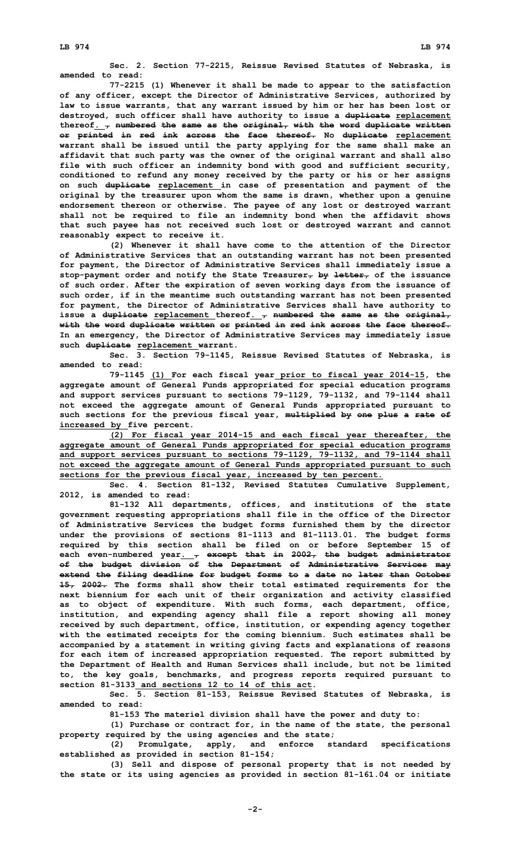**Sec. 2. Section 77-2215, Reissue Revised Statutes of Nebraska, is amended to read:**

**77-2215 (1) Whenever it shall be made to appear to the satisfaction of any officer, except the Director of Administrative Services, authorized by law to issue warrants, that any warrant issued by him or her has been lost or destroyed, such officer shall have authority to issue <sup>a</sup> duplicate replacement thereof. , numbered the same as the original, with the word duplicate written or printed in red ink across the face thereof. No duplicate replacement warrant shall be issued until the party applying for the same shall make an affidavit that such party was the owner of the original warrant and shall also file with such officer an indemnity bond with good and sufficient security, conditioned to refund any money received by the party or his or her assigns on such duplicate replacement in case of presentation and payment of the original by the treasurer upon whom the same is drawn, whether upon <sup>a</sup> genuine endorsement thereon or otherwise. The payee of any lost or destroyed warrant shall not be required to file an indemnity bond when the affidavit shows that such payee has not received such lost or destroyed warrant and cannot reasonably expect to receive it.**

**(2) Whenever it shall have come to the attention of the Director of Administrative Services that an outstanding warrant has not been presented for payment, the Director of Administrative Services shall immediately issue <sup>a</sup> stop-payment order and notify the State Treasurer, by letter, of the issuance of such order. After the expiration of seven working days from the issuance of such order, if in the meantime such outstanding warrant has not been presented for payment, the Director of Administrative Services shall have authority to issue <sup>a</sup> duplicate replacement thereof. , numbered the same as the original, with the word duplicate written or printed in red ink across the face thereof. In an emergency, the Director of Administrative Services may immediately issue such duplicate replacement warrant.**

**Sec. 3. Section 79-1145, Reissue Revised Statutes of Nebraska, is amended to read:**

**79-1145 (1) For each fiscal year prior to fiscal year 2014-15, the aggregate amount of General Funds appropriated for special education programs and support services pursuant to sections 79-1129, 79-1132, and 79-1144 shall not exceed the aggregate amount of General Funds appropriated pursuant to such sections for the previous fiscal year, multiplied by one plus <sup>a</sup> rate of increased by five percent.**

**(2) For fiscal year 2014-15 and each fiscal year thereafter, the aggregate amount of General Funds appropriated for special education programs and support services pursuant to sections 79-1129, 79-1132, and 79-1144 shall not exceed the aggregate amount of General Funds appropriated pursuant to such sections for the previous fiscal year, increased by ten percent.**

**Sec. 4. Section 81-132, Revised Statutes Cumulative Supplement, 2012, is amended to read:**

**81-132 All departments, offices, and institutions of the state government requesting appropriations shall file in the office of the Director of Administrative Services the budget forms furnished them by the director under the provisions of sections 81-1113 and 81-1113.01. The budget forms required by this section shall be filed on or before September 15 of each even-numbered year. , except that in 2002, the budget administrator of the budget division of the Department of Administrative Services may extend the filing deadline for budget forms to <sup>a</sup> date no later than October 15, 2002. The forms shall show their total estimated requirements for the next biennium for each unit of their organization and activity classified as to object of expenditure. With such forms, each department, office, institution, and expending agency shall file <sup>a</sup> report showing all money received by such department, office, institution, or expending agency together with the estimated receipts for the coming biennium. Such estimates shall be accompanied by <sup>a</sup> statement in writing giving facts and explanations of reasons for each item of increased appropriation requested. The report submitted by the Department of Health and Human Services shall include, but not be limited to, the key goals, benchmarks, and progress reports required pursuant to section 81-3133 and sections 12 to 14 of this act.**

**Sec. 5. Section 81-153, Reissue Revised Statutes of Nebraska, is amended to read:**

**81-153 The materiel division shall have the power and duty to:**

**(1) Purchase or contract for, in the name of the state, the personal property required by the using agencies and the state;**

**(2) Promulgate, apply, and enforce standard specifications established as provided in section 81-154;**

**(3) Sell and dispose of personal property that is not needed by the state or its using agencies as provided in section 81-161.04 or initiate**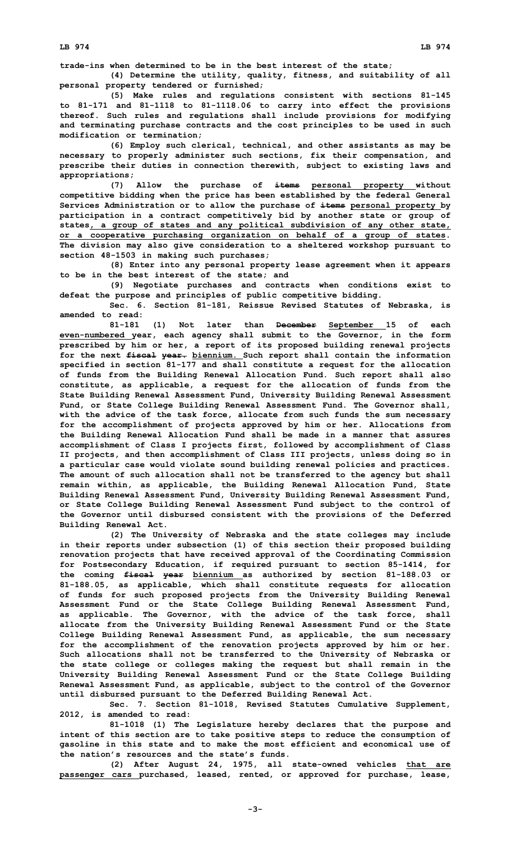**trade-ins when determined to be in the best interest of the state;**

**(4) Determine the utility, quality, fitness, and suitability of all personal property tendered or furnished;**

**(5) Make rules and regulations consistent with sections 81-145 to 81-171 and 81-1118 to 81-1118.06 to carry into effect the provisions thereof. Such rules and regulations shall include provisions for modifying and terminating purchase contracts and the cost principles to be used in such modification or termination;**

**(6) Employ such clerical, technical, and other assistants as may be necessary to properly administer such sections, fix their compensation, and prescribe their duties in connection therewith, subject to existing laws and appropriations;**

**(7) Allow the purchase of items personal property without competitive bidding when the price has been established by the federal General Services Administration or to allow the purchase of items personal property by participation in <sup>a</sup> contract competitively bid by another state or group of states, <sup>a</sup> group of states and any political subdivision of any other state, or <sup>a</sup> cooperative purchasing organization on behalf of <sup>a</sup> group of states. The division may also give consideration to <sup>a</sup> sheltered workshop pursuant to section 48-1503 in making such purchases;**

**(8) Enter into any personal property lease agreement when it appears to be in the best interest of the state; and**

**(9) Negotiate purchases and contracts when conditions exist to defeat the purpose and principles of public competitive bidding.**

**Sec. 6. Section 81-181, Reissue Revised Statutes of Nebraska, is amended to read:**

**81-181 (1) Not later than December September 15 of each even-numbered year, each agency shall submit to the Governor, in the form prescribed by him or her, <sup>a</sup> report of its proposed building renewal projects for the next fiscal year. biennium. Such report shall contain the information specified in section 81-177 and shall constitute <sup>a</sup> request for the allocation of funds from the Building Renewal Allocation Fund. Such report shall also constitute, as applicable, <sup>a</sup> request for the allocation of funds from the State Building Renewal Assessment Fund, University Building Renewal Assessment Fund, or State College Building Renewal Assessment Fund. The Governor shall, with the advice of the task force, allocate from such funds the sum necessary for the accomplishment of projects approved by him or her. Allocations from the Building Renewal Allocation Fund shall be made in <sup>a</sup> manner that assures accomplishment of Class I projects first, followed by accomplishment of Class II projects, and then accomplishment of Class III projects, unless doing so in <sup>a</sup> particular case would violate sound building renewal policies and practices. The amount of such allocation shall not be transferred to the agency but shall remain within, as applicable, the Building Renewal Allocation Fund, State Building Renewal Assessment Fund, University Building Renewal Assessment Fund, or State College Building Renewal Assessment Fund subject to the control of the Governor until disbursed consistent with the provisions of the Deferred Building Renewal Act.**

**(2) The University of Nebraska and the state colleges may include in their reports under subsection (1) of this section their proposed building renovation projects that have received approval of the Coordinating Commission for Postsecondary Education, if required pursuant to section 85-1414, for the coming fiscal year biennium as authorized by section 81-188.03 or 81-188.05, as applicable, which shall constitute requests for allocation of funds for such proposed projects from the University Building Renewal Assessment Fund or the State College Building Renewal Assessment Fund, as applicable. The Governor, with the advice of the task force, shall allocate from the University Building Renewal Assessment Fund or the State College Building Renewal Assessment Fund, as applicable, the sum necessary for the accomplishment of the renovation projects approved by him or her. Such allocations shall not be transferred to the University of Nebraska or the state college or colleges making the request but shall remain in the University Building Renewal Assessment Fund or the State College Building Renewal Assessment Fund, as applicable, subject to the control of the Governor until disbursed pursuant to the Deferred Building Renewal Act.**

**Sec. 7. Section 81-1018, Revised Statutes Cumulative Supplement, 2012, is amended to read:**

**81-1018 (1) The Legislature hereby declares that the purpose and intent of this section are to take positive steps to reduce the consumption of gasoline in this state and to make the most efficient and economical use of the nation's resources and the state's funds.**

**(2) After August 24, 1975, all state-owned vehicles that are passenger cars purchased, leased, rented, or approved for purchase, lease,**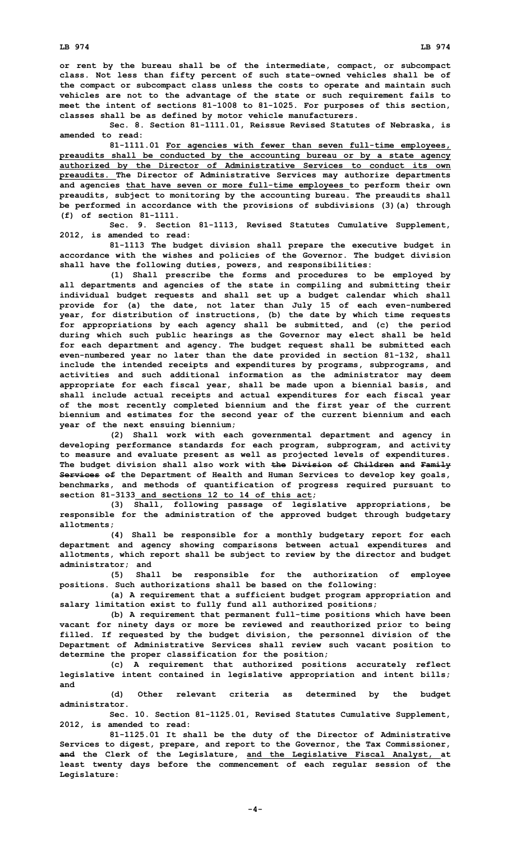**or rent by the bureau shall be of the intermediate, compact, or subcompact class. Not less than fifty percent of such state-owned vehicles shall be of the compact or subcompact class unless the costs to operate and maintain such vehicles are not to the advantage of the state or such requirement fails to meet the intent of sections 81-1008 to 81-1025. For purposes of this section, classes shall be as defined by motor vehicle manufacturers.**

**Sec. 8. Section 81-1111.01, Reissue Revised Statutes of Nebraska, is amended to read:**

**81-1111.01 For agencies with fewer than seven full-time employees, preaudits shall be conducted by the accounting bureau or by <sup>a</sup> state agency authorized by the Director of Administrative Services to conduct its own preaudits. The Director of Administrative Services may authorize departments and agencies that have seven or more full-time employees to perform their own preaudits, subject to monitoring by the accounting bureau. The preaudits shall be performed in accordance with the provisions of subdivisions (3)(a) through (f) of section 81-1111.**

**Sec. 9. Section 81-1113, Revised Statutes Cumulative Supplement, 2012, is amended to read:**

**81-1113 The budget division shall prepare the executive budget in accordance with the wishes and policies of the Governor. The budget division shall have the following duties, powers, and responsibilities:**

**(1) Shall prescribe the forms and procedures to be employed by all departments and agencies of the state in compiling and submitting their individual budget requests and shall set up <sup>a</sup> budget calendar which shall provide for (a) the date, not later than July 15 of each even-numbered year, for distribution of instructions, (b) the date by which time requests for appropriations by each agency shall be submitted, and (c) the period during which such public hearings as the Governor may elect shall be held for each department and agency. The budget request shall be submitted each even-numbered year no later than the date provided in section 81-132, shall include the intended receipts and expenditures by programs, subprograms, and activities and such additional information as the administrator may deem appropriate for each fiscal year, shall be made upon <sup>a</sup> biennial basis, and shall include actual receipts and actual expenditures for each fiscal year of the most recently completed biennium and the first year of the current biennium and estimates for the second year of the current biennium and each year of the next ensuing biennium;**

**(2) Shall work with each governmental department and agency in developing performance standards for each program, subprogram, and activity to measure and evaluate present as well as projected levels of expenditures. The budget division shall also work with the Division of Children and Family Services of the Department of Health and Human Services to develop key goals, benchmarks, and methods of quantification of progress required pursuant to section 81-3133 and sections 12 to 14 of this act;**

**(3) Shall, following passage of legislative appropriations, be responsible for the administration of the approved budget through budgetary allotments;**

**(4) Shall be responsible for <sup>a</sup> monthly budgetary report for each department and agency showing comparisons between actual expenditures and allotments, which report shall be subject to review by the director and budget administrator; and**

**(5) Shall be responsible for the authorization of employee positions. Such authorizations shall be based on the following:**

**(a) <sup>A</sup> requirement that <sup>a</sup> sufficient budget program appropriation and salary limitation exist to fully fund all authorized positions;**

**(b) <sup>A</sup> requirement that permanent full-time positions which have been vacant for ninety days or more be reviewed and reauthorized prior to being filled. If requested by the budget division, the personnel division of the Department of Administrative Services shall review such vacant position to determine the proper classification for the position;**

**(c) <sup>A</sup> requirement that authorized positions accurately reflect legislative intent contained in legislative appropriation and intent bills; and**

**(d) Other relevant criteria as determined by the budget administrator.**

**Sec. 10. Section 81-1125.01, Revised Statutes Cumulative Supplement, 2012, is amended to read:**

**81-1125.01 It shall be the duty of the Director of Administrative Services to digest, prepare, and report to the Governor, the Tax Commissioner, and the Clerk of the Legislature, and the Legislative Fiscal Analyst, at least twenty days before the commencement of each regular session of the Legislature:**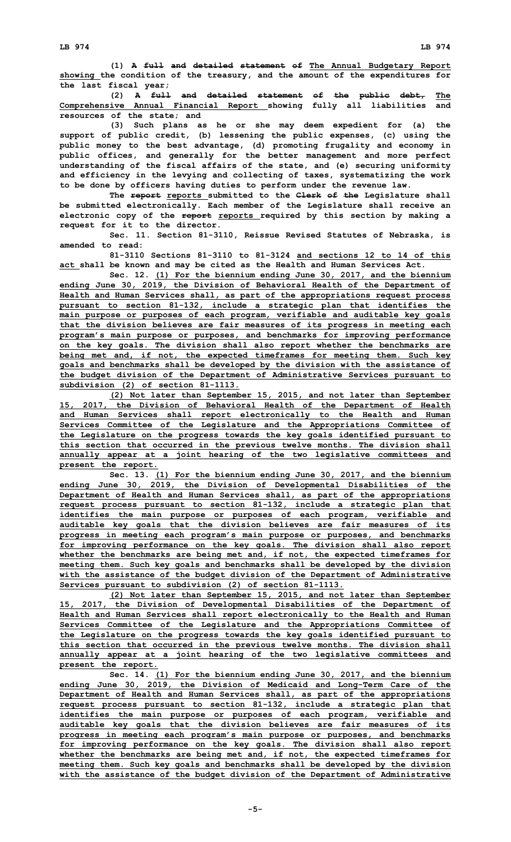**(1) <sup>A</sup> full and detailed statement of The Annual Budgetary Report showing the condition of the treasury, and the amount of the expenditures for the last fiscal year;**

**(2) <sup>A</sup> full and detailed statement of the public debt, The Comprehensive Annual Financial Report showing fully all liabilities and resources of the state; and**

**(3) Such plans as he or she may deem expedient for (a) the support of public credit, (b) lessening the public expenses, (c) using the public money to the best advantage, (d) promoting frugality and economy in public offices, and generally for the better management and more perfect understanding of the fiscal affairs of the state, and (e) securing uniformity and efficiency in the levying and collecting of taxes, systematizing the work to be done by officers having duties to perform under the revenue law.**

**The report reports submitted to the Clerk of the Legislature shall be submitted electronically. Each member of the Legislature shall receive an electronic copy of the report reports required by this section by making <sup>a</sup> request for it to the director.**

**Sec. 11. Section 81-3110, Reissue Revised Statutes of Nebraska, is amended to read:**

**81-3110 Sections 81-3110 to 81-3124 and sections 12 to 14 of this act shall be known and may be cited as the Health and Human Services Act.**

**Sec. 12. (1) For the biennium ending June 30, 2017, and the biennium ending June 30, 2019, the Division of Behavioral Health of the Department of Health and Human Services shall, as part of the appropriations request process pursuant to section 81-132, include <sup>a</sup> strategic plan that identifies the main purpose or purposes of each program, verifiable and auditable key goals that the division believes are fair measures of its progress in meeting each program's main purpose or purposes, and benchmarks for improving performance on the key goals. The division shall also report whether the benchmarks are being met and, if not, the expected timeframes for meeting them. Such key goals and benchmarks shall be developed by the division with the assistance of the budget division of the Department of Administrative Services pursuant to subdivision (2) of section 81-1113.**

**(2) Not later than September 15, 2015, and not later than September 15, 2017, the Division of Behavioral Health of the Department of Health and Human Services shall report electronically to the Health and Human Services Committee of the Legislature and the Appropriations Committee of the Legislature on the progress towards the key goals identified pursuant to this section that occurred in the previous twelve months. The division shall annually appear at <sup>a</sup> joint hearing of the two legislative committees and present the report.**

**Sec. 13. (1) For the biennium ending June 30, 2017, and the biennium ending June 30, 2019, the Division of Developmental Disabilities of the Department of Health and Human Services shall, as part of the appropriations request process pursuant to section 81-132, include <sup>a</sup> strategic plan that identifies the main purpose or purposes of each program, verifiable and auditable key goals that the division believes are fair measures of its progress in meeting each program's main purpose or purposes, and benchmarks for improving performance on the key goals. The division shall also report whether the benchmarks are being met and, if not, the expected timeframes for meeting them. Such key goals and benchmarks shall be developed by the division with the assistance of the budget division of the Department of Administrative Services pursuant to subdivision (2) of section 81-1113.**

**(2) Not later than September 15, 2015, and not later than September 15, 2017, the Division of Developmental Disabilities of the Department of Health and Human Services shall report electronically to the Health and Human Services Committee of the Legislature and the Appropriations Committee of the Legislature on the progress towards the key goals identified pursuant to this section that occurred in the previous twelve months. The division shall annually appear at <sup>a</sup> joint hearing of the two legislative committees and present the report.**

**Sec. 14. (1) For the biennium ending June 30, 2017, and the biennium ending June 30, 2019, the Division of Medicaid and Long-Term Care of the Department of Health and Human Services shall, as part of the appropriations request process pursuant to section 81-132, include <sup>a</sup> strategic plan that identifies the main purpose or purposes of each program, verifiable and auditable key goals that the division believes are fair measures of its progress in meeting each program's main purpose or purposes, and benchmarks for improving performance on the key goals. The division shall also report whether the benchmarks are being met and, if not, the expected timeframes for meeting them. Such key goals and benchmarks shall be developed by the division with the assistance of the budget division of the Department of Administrative**